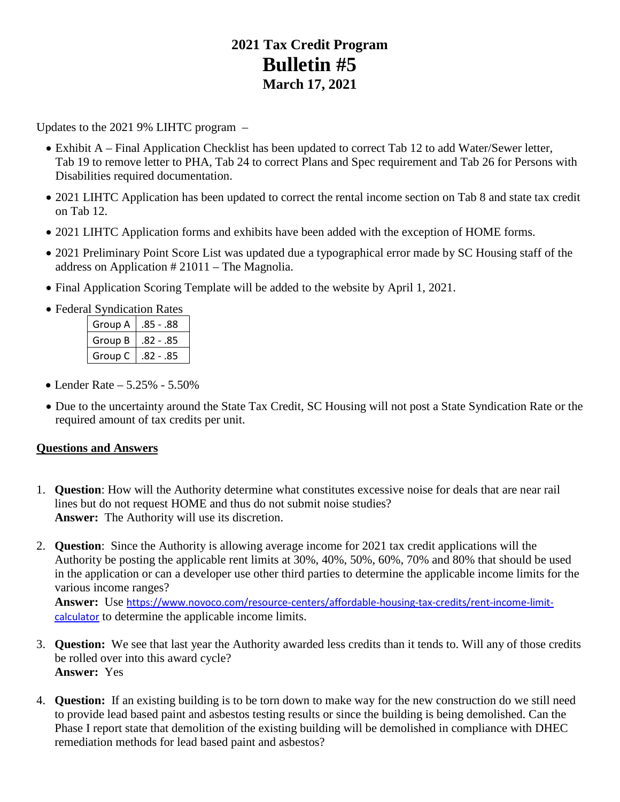## **2021 Tax Credit Program Bulletin #5 March 17, 2021**

Updates to the 2021 9% LIHTC program –

- Exhibit A Final Application Checklist has been updated to correct Tab 12 to add Water/Sewer letter, Tab 19 to remove letter to PHA, Tab 24 to correct Plans and Spec requirement and Tab 26 for Persons with Disabilities required documentation.
- 2021 LIHTC Application has been updated to correct the rental income section on Tab 8 and state tax credit on Tab 12.
- 2021 LIHTC Application forms and exhibits have been added with the exception of HOME forms.
- 2021 Preliminary Point Score List was updated due a typographical error made by SC Housing staff of the address on Application # 21011 – The Magnolia.
- Final Application Scoring Template will be added to the website by April 1, 2021.
- Federal Syndication Rates

| Group A | .85 - .88    |
|---------|--------------|
| Group B | .82 - .85    |
| Group C | .82<br>- .85 |

- Lender Rate 5.25% 5.50%
- Due to the uncertainty around the State Tax Credit, SC Housing will not post a State Syndication Rate or the required amount of tax credits per unit.

## **Questions and Answers**

- 1. **Question**: How will the Authority determine what constitutes excessive noise for deals that are near rail lines but do not request HOME and thus do not submit noise studies? **Answer:** The Authority will use its discretion.
- 2. **Question**: Since the Authority is allowing average income for 2021 tax credit applications will the Authority be posting the applicable rent limits at 30%, 40%, 50%, 60%, 70% and 80% that should be used in the application or can a developer use other third parties to determine the applicable income limits for the various income ranges?

**Answer:** Use [https://www.novoco.com/resource-centers/affordable-housing-tax-credits/rent-income-limit](https://www.novoco.com/resource-centers/affordable-housing-tax-credits/rent-income-limit-calculator)[calculator](https://www.novoco.com/resource-centers/affordable-housing-tax-credits/rent-income-limit-calculator) to determine the applicable income limits.

- 3. **Question:** We see that last year the Authority awarded less credits than it tends to. Will any of those credits be rolled over into this award cycle? **Answer:** Yes
- 4. **Question:** If an existing building is to be torn down to make way for the new construction do we still need to provide lead based paint and asbestos testing results or since the building is being demolished. Can the Phase I report state that demolition of the existing building will be demolished in compliance with DHEC remediation methods for lead based paint and asbestos?